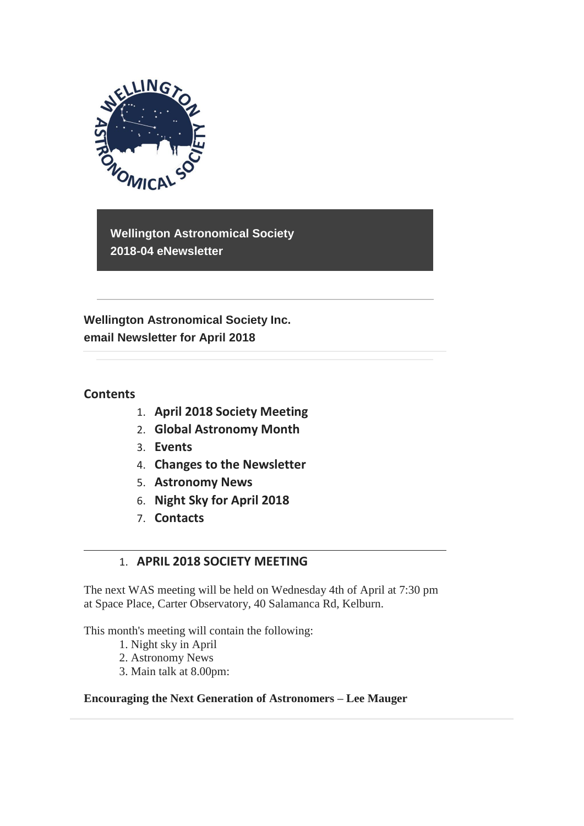

**Wellington Astronomical Society 2018-04 eNewsletter**

**Wellington Astronomical Society Inc. email Newsletter for April 2018** 

### **Contents**

- 1. **April 2018 Society Meeting**
- 2. **Global Astronomy Month**
- 3. **Events**
- 4. **Changes to the Newsletter**
- 5. **Astronomy News**
- 6. **Night Sky for April 2018**
- 7. **Contacts**

## 1. **APRIL 2018 SOCIETY MEETING**

The next WAS meeting will be held on Wednesday 4th of April at 7:30 pm at Space Place, Carter Observatory, 40 Salamanca Rd, Kelburn.

This month's meeting will contain the following:

- 1. Night sky in April
- 2. Astronomy News
- 3. Main talk at 8.00pm:

#### **Encouraging the Next Generation of Astronomers – Lee Mauger**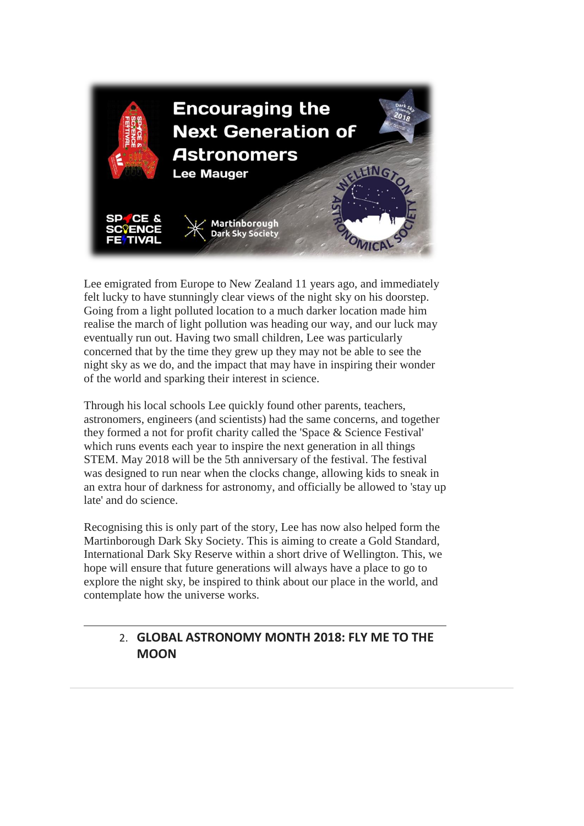

Lee emigrated from Europe to New Zealand 11 years ago, and immediately felt lucky to have stunningly clear views of the night sky on his doorstep. Going from a light polluted location to a much darker location made him realise the march of light pollution was heading our way, and our luck may eventually run out. Having two small children, Lee was particularly concerned that by the time they grew up they may not be able to see the night sky as we do, and the impact that may have in inspiring their wonder of the world and sparking their interest in science.

Through his local schools Lee quickly found other parents, teachers, astronomers, engineers (and scientists) had the same concerns, and together they formed a not for profit charity called the 'Space & Science Festival' which runs events each year to inspire the next generation in all things STEM. May 2018 will be the 5th anniversary of the festival. The festival was designed to run near when the clocks change, allowing kids to sneak in an extra hour of darkness for astronomy, and officially be allowed to 'stay up late' and do science.

Recognising this is only part of the story, Lee has now also helped form the Martinborough Dark Sky Society. This is aiming to create a Gold Standard, International Dark Sky Reserve within a short drive of Wellington. This, we hope will ensure that future generations will always have a place to go to explore the night sky, be inspired to think about our place in the world, and contemplate how the universe works.

# 2. **GLOBAL ASTRONOMY MONTH 2018: FLY ME TO THE MOON**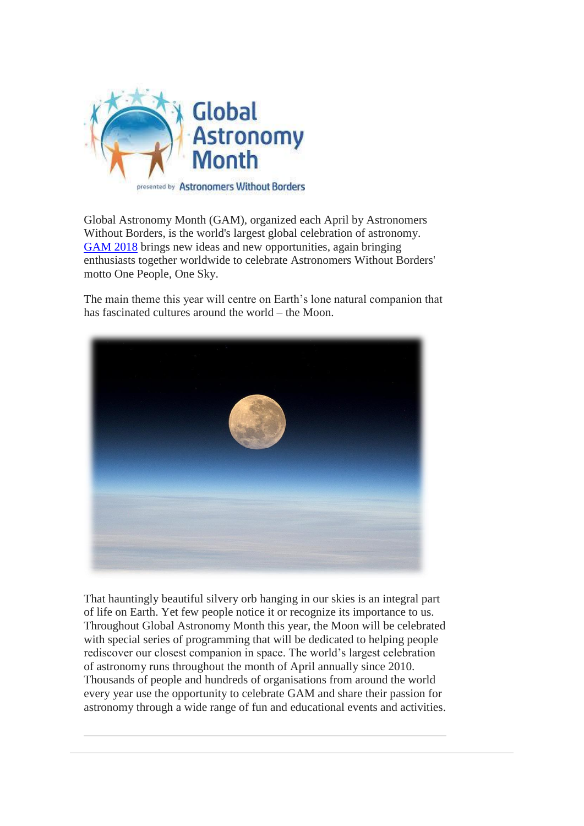

Global Astronomy Month (GAM), organized each April by Astronomers Without Borders, is the world's largest global celebration of astronomy. [GAM 2018](https://astronomerswithoutborders.org/global-astronomy-month-2018.html) brings new ideas and new opportunities, again bringing enthusiasts together worldwide to celebrate Astronomers Without Borders' motto One People, One Sky.

The main theme this year will centre on Earth's lone natural companion that has fascinated cultures around the world – the Moon.



That hauntingly beautiful silvery orb hanging in our skies is an integral part of life on Earth. Yet few people notice it or recognize its importance to us. Throughout Global Astronomy Month this year, the Moon will be celebrated with special series of programming that will be dedicated to helping people rediscover our closest companion in space. The world's largest celebration of astronomy runs throughout the month of April annually since 2010. Thousands of people and hundreds of organisations from around the world every year use the opportunity to celebrate GAM and share their passion for astronomy through a wide range of fun and educational events and activities.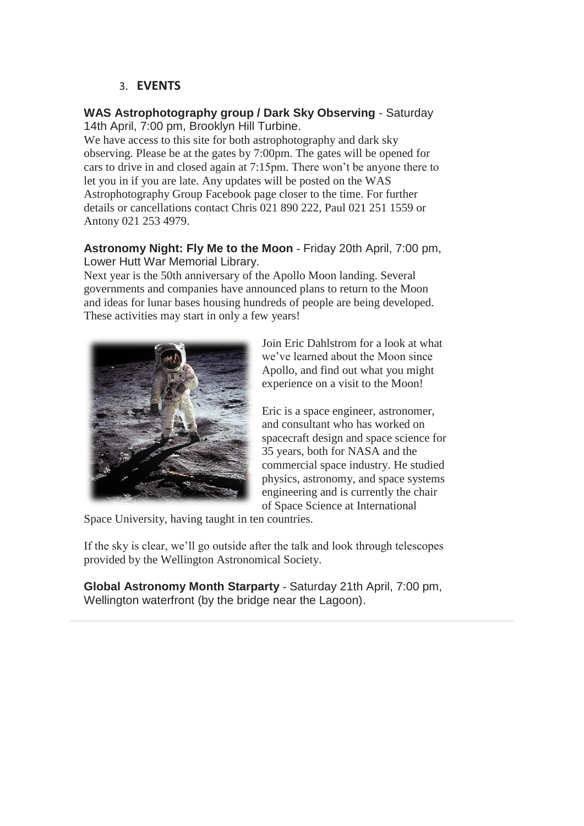### 3. **EVENTS**

#### **WAS Astrophotography group / Dark Sky Observing** - Saturday 14th April, 7:00 pm, Brooklyn Hill Turbine.

We have access to this site for both astrophotography and dark sky observing. Please be at the gates by 7:00pm. The gates will be opened for cars to drive in and closed again at 7:15pm. There won't be anyone there to let you in if you are late. Any updates will be posted on the WAS Astrophotography Group Facebook page closer to the time. For further details or cancellations contact Chris 021 890 222, Paul 021 251 1559 or Antony 021 253 4979.

#### **Astronomy Night: Fly Me to the Moon** - Friday 20th April, 7:00 pm, Lower Hutt War Memorial Library.

Next year is the 50th anniversary of the Apollo Moon landing. Several governments and companies have announced plans to return to the Moon and ideas for lunar bases housing hundreds of people are being developed. These activities may start in only a few years!



Join Eric Dahlstrom for a look at what we've learned about the Moon since Apollo, and find out what you might experience on a visit to the Moon!

Eric is a space engineer, astronomer, and consultant who has worked on spacecraft design and space science for 35 years, both for NASA and the commercial space industry. He studied physics, astronomy, and space systems engineering and is currently the chair of Space Science at International

Space University, having taught in ten countries.

If the sky is clear, we'll go outside after the talk and look through telescopes provided by the Wellington Astronomical Society.

**Global Astronomy Month Starparty** - Saturday 21th April, 7:00 pm, Wellington waterfront (by the bridge near the Lagoon).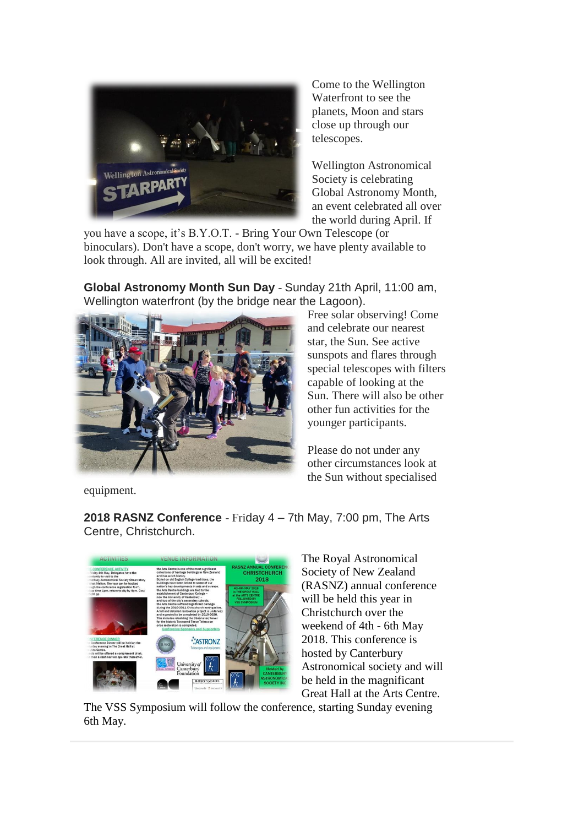

Come to the Wellington Waterfront to see the planets, Moon and stars close up through our telescopes.

Wellington Astronomical Society is celebrating Global Astronomy Month, an event celebrated all over the world during April. If

you have a scope, it's B.Y.O.T. - Bring Your Own Telescope (or binoculars). Don't have a scope, don't worry, we have plenty available to look through. All are invited, all will be excited!

**Global Astronomy Month Sun Day** - Sunday 21th April, 11:00 am, Wellington waterfront (by the bridge near the Lagoon).



Free solar observing! Come and celebrate our nearest star, the Sun. See active sunspots and flares through special telescopes with filters capable of looking at the Sun. There will also be other other fun activities for the younger participants.

Please do not under any other circumstances look at the Sun without specialised

equipment.

**2018 RASNZ Conference** - Friday 4 – 7th May, 7:00 pm, The Arts Centre, Christchurch.



The Royal Astronomical Society of New Zealand (RASNZ) annual conference will be held this year in Christchurch over the weekend of 4th - 6th May 2018. This conference is hosted by Canterbury Astronomical society and will be held in the magnificant Great Hall at the Arts Centre.

The VSS Symposium will follow the conference, starting Sunday evening 6th May.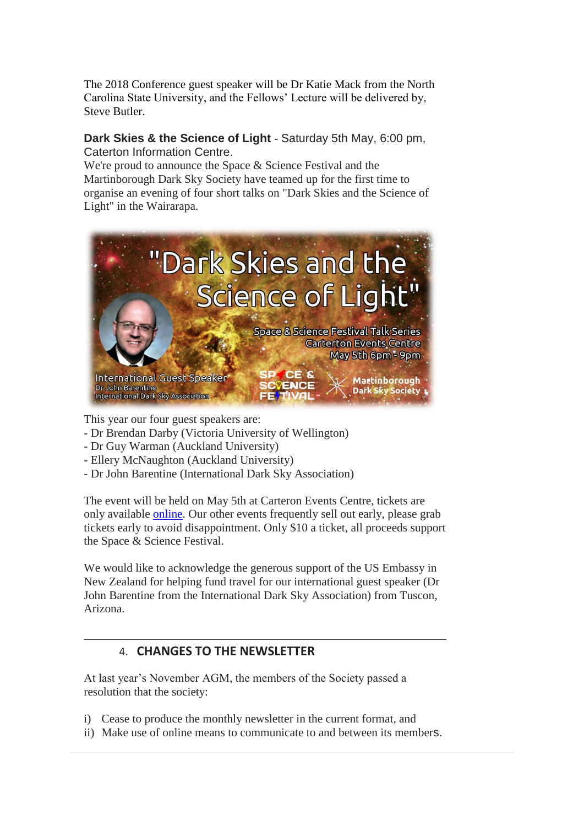The 2018 Conference guest speaker will be Dr Katie Mack from the North Carolina State University, and the Fellows' Lecture will be delivered by, Steve Butler.

#### **Dark Skies & the Science of Light** - Saturday 5th May, 6:00 pm, Caterton Information Centre.

We're proud to announce the Space & Science Festival and the Martinborough Dark Sky Society have teamed up for the first time to organise an evening of four short talks on "Dark Skies and the Science of Light" in the Wairarapa.



This year our four guest speakers are:

- Dr Brendan Darby (Victoria University of Wellington)
- Dr Guy Warman (Auckland University)
- Ellery McNaughton (Auckland University)
- Dr John Barentine (International Dark Sky Association)

The event will be held on May 5th at Carteron Events Centre, tickets are only available [online.](https://spacesciencefestival.org/index.php/carterton-evening-talks/) Our other events frequently sell out early, please grab tickets early to avoid disappointment. Only \$10 a ticket, all proceeds support the Space & Science Festival.

We would like to acknowledge the generous support of the US Embassy in New Zealand for helping fund travel for our international guest speaker (Dr John Barentine from the International Dark Sky Association) from Tuscon, Arizona.

## 4. **CHANGES TO THE NEWSLETTER**

At last year's November AGM, the members of the Society passed a resolution that the society:

- i) Cease to produce the monthly newsletter in the current format, and
- ii) Make use of online means to communicate to and between its members.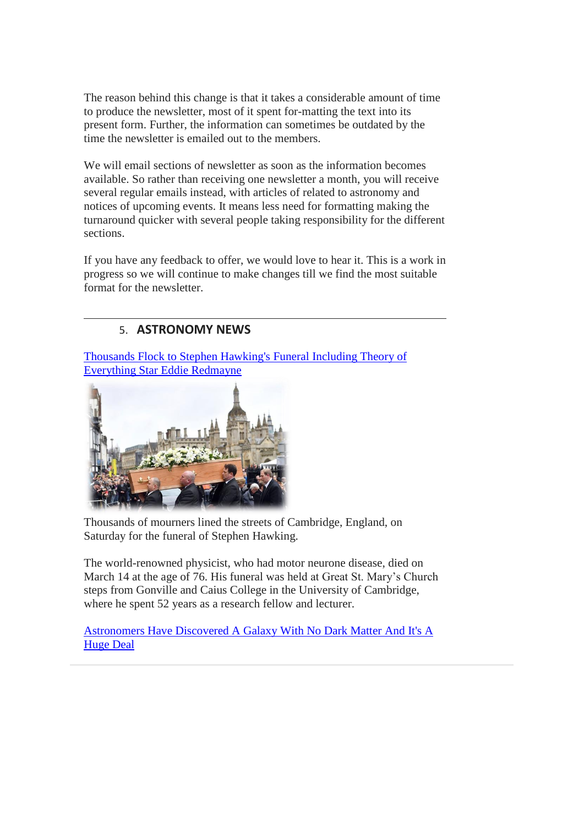The reason behind this change is that it takes a considerable amount of time to produce the newsletter, most of it spent for-matting the text into its present form. Further, the information can sometimes be outdated by the time the newsletter is emailed out to the members.

We will email sections of newsletter as soon as the information becomes available. So rather than receiving one newsletter a month, you will receive several regular emails instead, with articles of related to astronomy and notices of upcoming events. It means less need for formatting making the turnaround quicker with several people taking responsibility for the different sections.

If you have any feedback to offer, we would love to hear it. This is a work in progress so we will continue to make changes till we find the most suitable format for the newsletter.

# 5. **ASTRONOMY NEWS**

[Thousands Flock to Stephen Hawking's Funeral Including Theory of](http://people.com/human-interest/thousands-flock-to-stephen-hawkings-funeral-including-theory-of-everything-star-eddie-redmayne/)  [Everything Star Eddie Redmayne](http://people.com/human-interest/thousands-flock-to-stephen-hawkings-funeral-including-theory-of-everything-star-eddie-redmayne/)



Thousands of mourners lined the streets of Cambridge, England, on Saturday for the funeral of Stephen Hawking.

The world-renowned physicist, who had motor neurone disease, died on March 14 at the age of 76. His funeral was held at Great St. Mary's Church steps from Gonville and Caius College in the University of Cambridge, where he spent 52 years as a research fellow and lecturer.

[Astronomers Have Discovered A Galaxy With No Dark Matter And It's A](http://www.iflscience.com/space/astronomers-have-discovered-a-galaxy-with-no-dark-matter-and-its-a-huge-deal/all/)  [Huge Deal](http://www.iflscience.com/space/astronomers-have-discovered-a-galaxy-with-no-dark-matter-and-its-a-huge-deal/all/)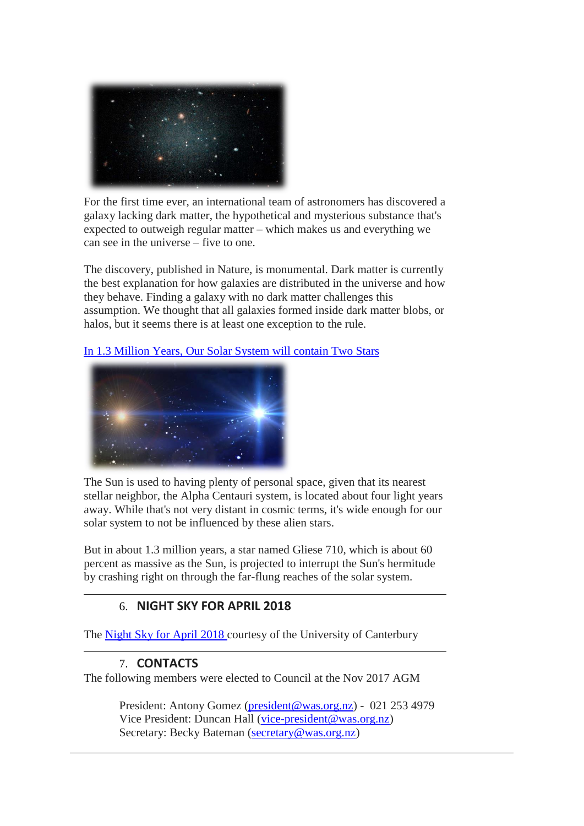

For the first time ever, an international team of astronomers has discovered a galaxy lacking dark matter, the hypothetical and mysterious substance that's expected to outweigh regular matter – which makes us and everything we can see in the universe – five to one.

The discovery, published in Nature, is monumental. Dark matter is currently the best explanation for how galaxies are distributed in the universe and how they behave. Finding a galaxy with no dark matter challenges this assumption. We thought that all galaxies formed inside dark matter blobs, or halos, but it seems there is at least one exception to the rule.

[In 1.3 Million Years, Our Solar System will](http://www.thescicademy.com/2018/03/in-13-million-years-our-solar-system.html) contain Two Stars



The Sun is used to having plenty of personal space, given that its nearest stellar neighbor, the Alpha Centauri system, is located about four light years away. While that's not very distant in cosmic terms, it's wide enough for our solar system to not be influenced by these alien stars.

But in about 1.3 million years, a star named Gliese 710, which is about 60 percent as massive as the Sun, is projected to interrupt the Sun's hermitude by crashing right on through the far-flung reaches of the solar system.

## 6. **NIGHT SKY FOR APRIL 2018**

The [Night Sky for April 2018](https://drive.google.com/open?id=1Mw8L4H2g25nC8zGKXJud7AOho6l4c_ij) courtesy of the University of Canterbury

## 7. **CONTACTS**

The following members were elected to Council at the Nov 2017 AGM

President: Antony Gomez [\(president@was.org.nz\)](mailto:president@was.org.nz) - 021 253 4979 Vice President: Duncan Hall [\(vice-president@was.org.nz\)](mailto:vice-president@was.org.nz) Secretary: Becky Bateman [\(secretary@was.org.nz\)](mailto:secretary@was.org.nz)